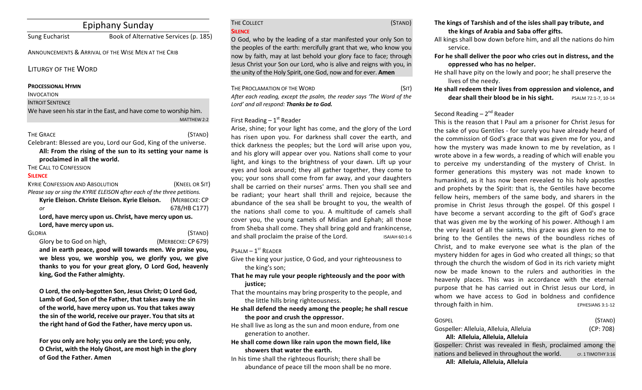# Epiphany Sunday

Sung Eucharist Book of Alternative Services (p. 185)

ANNOUNCEMENTS & ARRIVAL OF THE WISE MEN AT THE CRIB

# LITURGY OF THE WORD

## **PROCESSIONAL HYMN**

## INVOCATION

## **INTROIT SENTENCE**

We have seen his star in the East, and have come to worship him.

## THE GRACE (STAND)

Celebrant: Blessed are you, Lord our God, King of the universe.

All: From the rising of the sun to its setting your name is proclaimed in all the world.

## THE CALL TO CONFESSION

## **SILENCE**

KYRIE CONFESSION AND ABSOLUTION *NATEL ANDER* (KNEEL OR SIT) *Please say or sing the KYRIE ELEISON after each of the three petitions.* **Kyrie Eleison. Christe Eleison. Kyrie Eleison.** (MERBECKE: CP *or* 678/HB C177) Lord, have mercy upon us. Christ, have mercy upon us. Lord, have mercy upon us.

# GLORIA (STAND)

Glory be to God on high, *(MERBECKE: CP 679)* and in earth peace, good will towards men. We praise you, we bless you, we worship you, we glorify you, we give thanks to you for your great glory, O Lord God, heavenly king, God the Father almighty.

**O** Lord, the only-begotten Son, Jesus Christ; O Lord God, Lamb of God, Son of the Father, that takes away the sin of the world, have mercy upon us. You that takes away the sin of the world, receive our prayer. You that sits at the right hand of God the Father, have mercy upon us.

For you only are holy; you only are the Lord; you only, **O** Christ, with the Holy Ghost, are most high in the glory **of God the Father. Amen**

## THE COLLECT (STAND) **SILENCE**

O God, who by the leading of a star manifested your only Son to the peoples of the earth: mercifully grant that we, who know you now by faith, may at last behold your glory face to face; through Jesus Christ your Son our Lord, who is alive and reigns with you, in the unity of the Holy Spirit, one God, now and for ever. Amen

| THE PROCLAMATION OF THE WORD                                           | (SIT) |
|------------------------------------------------------------------------|-------|
| After each reading, except the psalm, the reader says 'The Word of the |       |
| Lord' and all respond: <b>Thanks be to God.</b>                        |       |

## First Reading  $-1<sup>st</sup>$  Reader

Arise, shine; for your light has come, and the glory of the Lord has risen upon you. For darkness shall cover the earth, and thick darkness the peoples; but the Lord will arise upon you, and his glory will appear over you. Nations shall come to your light, and kings to the brightness of your dawn. Lift up your eyes and look around; they all gather together, they come to you; your sons shall come from far away, and your daughters shall be carried on their nurses' arms. Then you shall see and be radiant; your heart shall thrill and rejoice, because the abundance of the sea shall be brought to you, the wealth of the nations shall come to you. A multitude of camels shall cover you, the young camels of Midian and Ephah; all those from Sheba shall come. They shall bring gold and frankincense, and shall proclaim the praise of the Lord. Salah 60:1-6

# $P$ SALM –  $1^{ST}$  READER

Give the king your justice, O God, and your righteousness to the king's son;

That he may rule your people righteously and the poor with **justice;** 

That the mountains may bring prosperity to the people, and the little hills bring righteousness.

He shall defend the needy among the people; he shall rescue the poor and crush the oppressor.

He shall live as long as the sun and moon endure, from one generation to another.

He shall come down like rain upon the mown field, like showers that water the earth.

In his time shall the righteous flourish; there shall be abundance of peace till the moon shall be no more.

- The kings of Tarshish and of the isles shall pay tribute, and the kings of Arabia and Saba offer gifts.
- All kings shall bow down before him, and all the nations do him service.
- For he shall deliver the poor who cries out in distress, and the oppressed who has no helper.
- He shall have pity on the lowly and poor; he shall preserve the lives of the needy.

He shall redeem their lives from oppression and violence, and **dear shall their blood be in his sight.** PSALM 72:1-7, 10-14

# Second Reading  $- 2<sup>nd</sup>$  Reader

This is the reason that I Paul am a prisoner for Christ Jesus for the sake of you Gentiles - for surely you have already heard of the commission of God's grace that was given me for you, and how the mystery was made known to me by revelation, as I wrote above in a few words, a reading of which will enable you to perceive my understanding of the mystery of Christ. In former generations this mystery was not made known to humankind, as it has now been revealed to his holy apostles and prophets by the Spirit: that is, the Gentiles have become fellow heirs, members of the same body, and sharers in the promise in Christ Jesus through the gospel. Of this gospel I have become a servant according to the gift of God's grace that was given me by the working of his power. Although I am the very least of all the saints, this grace was given to me to bring to the Gentiles the news of the boundless riches of Christ, and to make everyone see what is the plan of the mystery hidden for ages in God who created all things; so that through the church the wisdom of God in its rich variety might now be made known to the rulers and authorities in the heavenly places. This was in accordance with the eternal purpose that he has carried out in Christ Jesus our Lord, in whom we have access to God in boldness and confidence through faith in him. The state of the series of the series of the series of the series of the series of the series of the series of the series of the series of the series of the series of the series of the series of the s

| <b>GOSPEL</b>                                                 | (STAND)            |
|---------------------------------------------------------------|--------------------|
| Gospeller: Alleluia, Alleluia, Alleluia                       | (CP: 708)          |
| All: Alleluia, Alleluia, Alleluia                             |                    |
| Gospeller: Christ was revealed in flesh, proclaimed among the |                    |
| nations and believed in throughout the world.                 | CF. 1 TIMOTHY 3:16 |
| All: Alleluia, Alleluia, Alleluia                             |                    |

MATTHEW 2:2